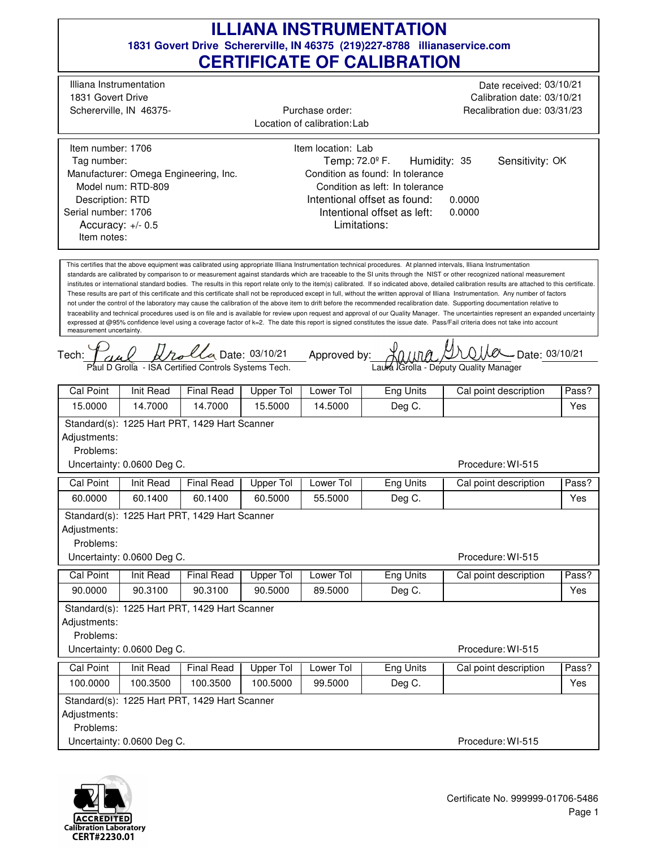$0.1100 \times 10^{10}$  Date: 03/10/21 traceability and technical procedures used is on file and is available for review upon request and approval of our Quality Manager. The uncertainties represent an expanded uncertainty Intentional offset as found: Tech: This certifies that the above equipment was calibrated using appropriate Illiana Instrumentation technical procedures. At planned intervals, Illiana Instrumentation standards are calibrated by comparison to or measurement against standards which are traceable to the SI units through the NIST or other recognized national measurement institutes or international standard bodies. The results in this report relate only to the item(s) calibrated. If so indicated above, detailed calibration results are attached to this certificate. These results are part of this certificate and this certificate shall not be reproduced except in full, without the written approval of Illiana Instrumentation. Any number of factors not under the control of the laboratory may cause the calibration of the above item to drift before the recommended recalibration date. Supporting documentation relative to expressed at @95% confidence level using a coverage factor of k=2. The date this report is signed constitutes the issue date. Pass/Fail criteria does not take into account measurement uncertainty. Approved by: 0.0000 Limitations: Temp:  $72.0^{\circ}$  F. 0.0000 Accuracy: +/- 0.5 Humidity: 35 Illiana Instrumentation Schererville, IN 46375- 1831 Govert Drive Date received: 03/10/21 Calibration date: 03/10/21 Recalibration due: 03/31/23 Location of calibration: Lab Item number: 1706 Description: RTD Manufacturer: Omega Engineering, Inc. Model num: RTD-809 Tag number: Serial number: 1706 Item location: Lab Condition as found: In tolerance Condition as left: In tolerance Purchase order: Item notes: Sensitivity: OK Intentional offset as left: *Dalla* Date: 03/10/21 Paul D Grolla - ISA Certified Controls Systems Tech. Laura Grolla - Deputy Quality Manager Procedure: WI-515 Cal Point | Init Read | Final Read | Upper Tol | Lower Tol | Eng Units | Cal point description | Pass? 15.0000 14.7000 14.7000 15.5000 14.5000 Deg C. Yes Standard(s): 1225 Hart PRT, 1429 Hart Scanner Adjustments: Problems: Uncertainty: 0.0600 Deg C. Procedure: WI-515 Cal Point | Init Read | Final Read | Upper Tol | Lower Tol | Eng Units | Cal point description | Pass? 60.0000 60.1400 60.1400 60.5000 55.5000 Deg C. Yes Standard(s): 1225 Hart PRT, 1429 Hart Scanner Adjustments: Problems: Uncertainty: 0.0600 Deg C. Procedure: WI-515 Cal Point | Init Read | Final Read | Upper Tol | Lower Tol | Eng Units | Cal point description | Pass? 90.0000 90.3100 90.3100 90.5000 89.5000 Deg C. Yes Standard(s): 1225 Hart PRT, 1429 Hart Scanner Adjustments: Problems: Uncertainty: 0.0600 Deg C. Procedure: WI-515 Cal Point | Init Read | Final Read | Upper Tol | Lower Tol | Eng Units | Cal point description | Pass? 100.0000 100.3500 100.3500 100.5000 99.5000 Deg C. Yes Standard(s): 1225 Hart PRT, 1429 Hart Scanner Adjustments: Problems: Uncertainty: 0.0600 Deg C.

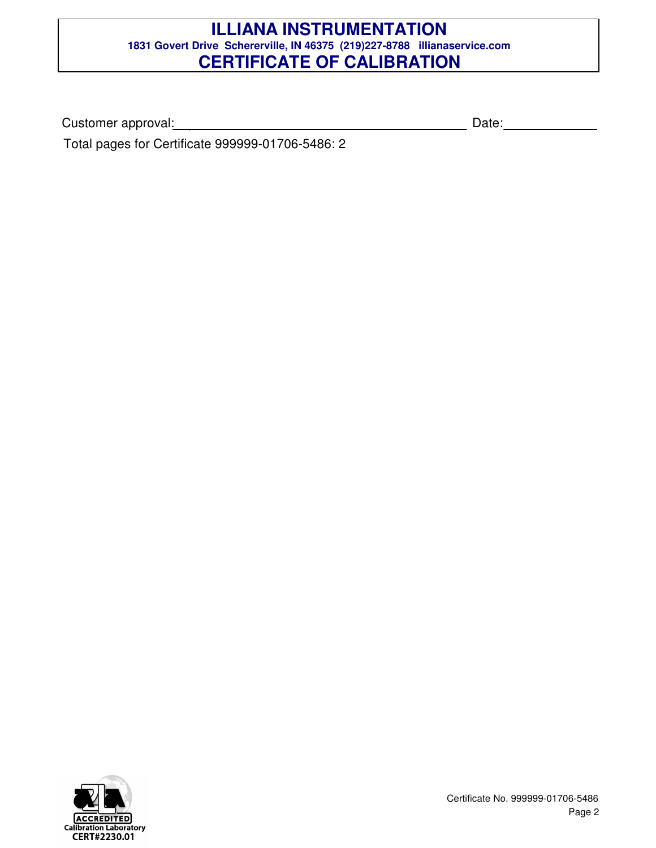Customer approval: Date:

Total pages for Certificate 999999-01706-5486: 2

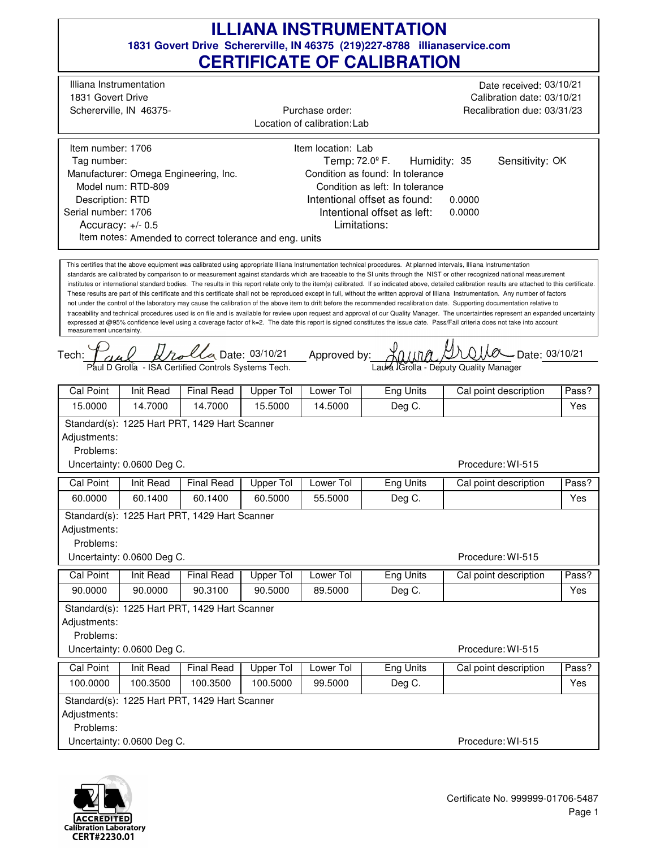$0.1100 \times 10^{10}$  Date: 03/10/21 traceability and technical procedures used is on file and is available for review upon request and approval of our Quality Manager. The uncertainties represent an expanded uncertainty Intentional offset as found: Tech: This certifies that the above equipment was calibrated using appropriate Illiana Instrumentation technical procedures. At planned intervals, Illiana Instrumentation standards are calibrated by comparison to or measurement against standards which are traceable to the SI units through the NIST or other recognized national measurement institutes or international standard bodies. The results in this report relate only to the item(s) calibrated. If so indicated above, detailed calibration results are attached to this certificate. These results are part of this certificate and this certificate shall not be reproduced except in full, without the written approval of Illiana Instrumentation. Any number of factors not under the control of the laboratory may cause the calibration of the above item to drift before the recommended recalibration date. Supporting documentation relative to expressed at @95% confidence level using a coverage factor of k=2. The date this report is signed constitutes the issue date. Pass/Fail criteria does not take into account measurement uncertainty. Approved by: 0.0000 Limitations: Temp:  $72.0^{\circ}$  F. 0.0000 Accuracy: +/- 0.5 Humidity: 35 Illiana Instrumentation Schererville, IN 46375- 1831 Govert Drive Date received: 03/10/21 Calibration date: 03/10/21 Recalibration due: 03/31/23 Location of calibration: Lab Item number: 1706 Description: RTD Manufacturer: Omega Engineering, Inc. Model num: RTD-809 Tag number: Serial number: 1706 Item location: Lab Condition as found: In tolerance Condition as left: In tolerance Purchase order: Item notes: Amended to correct tolerance and eng. units Sensitivity: OK Intentional offset as left: *Dalla* Date: 03/10/21 Paul D Grolla - ISA Certified Controls Systems Tech. Laura Grolla - Deputy Quality Manager Procedure: WI-515 Cal Point | Init Read | Final Read | Upper Tol | Lower Tol | Eng Units | Cal point description | Pass? 15.0000 14.7000 14.7000 15.5000 14.5000 Deg C. Yes Standard(s): 1225 Hart PRT, 1429 Hart Scanner Adjustments: Problems: Uncertainty: 0.0600 Deg C. Procedure: WI-515 Cal Point | Init Read | Final Read | Upper Tol | Lower Tol | Eng Units | Cal point description | Pass? 60.0000 60.1400 60.1400 60.5000 55.5000 Deg C. Yes Standard(s): 1225 Hart PRT, 1429 Hart Scanner Adjustments: Problems: Uncertainty: 0.0600 Deg C. Procedure: WI-515 Cal Point | Init Read | Final Read | Upper Tol | Lower Tol | Eng Units | Cal point description | Pass? 90.0000 90.0000 90.3100 90.5000 89.5000 Deg C. Yes Standard(s): 1225 Hart PRT, 1429 Hart Scanner Adjustments: Problems: Uncertainty: 0.0600 Deg C. Procedure: WI-515 Cal Point | Init Read | Final Read | Upper Tol | Lower Tol | Eng Units | Cal point description | Pass? 100.0000 100.3500 100.3500 100.5000 99.5000 Deg C. Yes Standard(s): 1225 Hart PRT, 1429 Hart Scanner Adjustments: Problems: Uncertainty: 0.0600 Deg C.